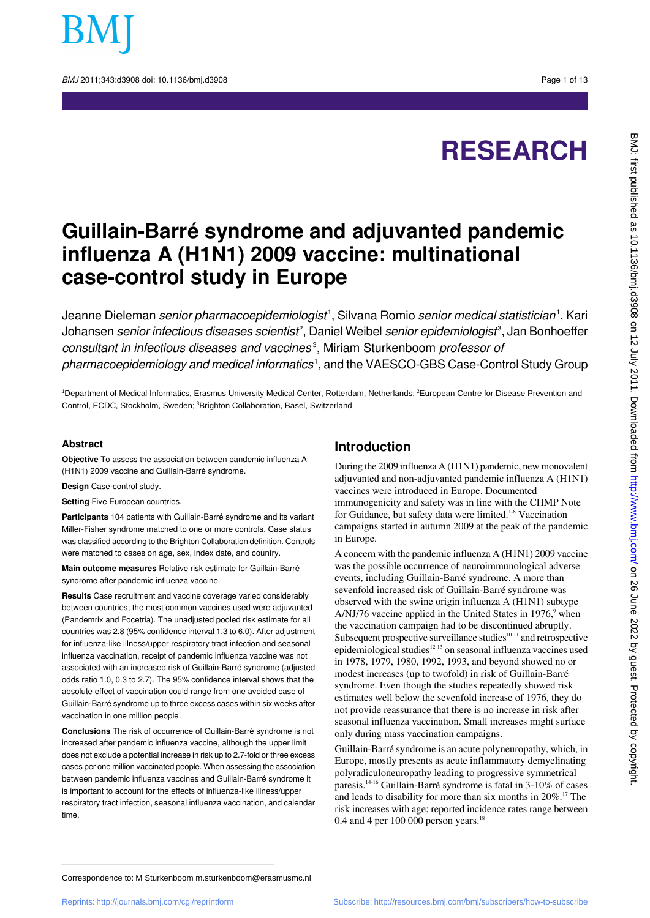

BMJ 2011:343:d3908 doi: 10.1136/bmi.d3908 Page 1 of 13

# **RESEARCH**

## **Guillain-Barré syndrome and adjuvanted pandemic influenza A (H1N1) 2009 vaccine: multinational case-control study in Europe**

Jeanne Dieleman *senior pharmacoepidemiologist*', Silvana Romio *senior medical statistician*', Kari Johansen *senior infectious diseases scientist<sup>2</sup>,* Daniel Weibel *senior epidemiologist<sup>3</sup>,* Jan Bonhoeffer consultant in infectious diseases and vaccines<sup>3</sup>, Miriam Sturkenboom professor of pharmacoepidemiology and medical informatics<sup>1</sup>, and the VAESCO-GBS Case-Control Study Group

<sup>1</sup>Department of Medical Informatics, Erasmus University Medical Center, Rotterdam, Netherlands; <sup>2</sup>European Centre for Disease Prevention and Control, ECDC, Stockholm, Sweden; <sup>3</sup>Brighton Collaboration, Basel, Switzerland

#### **Abstract**

**Objective** To assess the association between pandemic influenza A (H1N1) 2009 vaccine and Guillain-Barré syndrome.

**Design** Case-control study.

**Setting** Five European countries.

**Participants** 104 patients with Guillain-Barré syndrome and its variant Miller-Fisher syndrome matched to one or more controls. Case status was classified according to the Brighton Collaboration definition. Controls were matched to cases on age, sex, index date, and country.

**Main outcome measures** Relative risk estimate for Guillain-Barré syndrome after pandemic influenza vaccine.

**Results** Case recruitment and vaccine coverage varied considerably between countries; the most common vaccines used were adjuvanted (Pandemrix and Focetria). The unadjusted pooled risk estimate for all countries was 2.8 (95% confidence interval 1.3 to 6.0). After adjustment for influenza-like illness/upper respiratory tract infection and seasonal influenza vaccination, receipt of pandemic influenza vaccine was not associated with an increased risk of Guillain-Barré syndrome (adjusted odds ratio 1.0, 0.3 to 2.7). The 95% confidence interval shows that the absolute effect of vaccination could range from one avoided case of Guillain-Barré syndrome up to three excess cases within six weeks after vaccination in one million people.

**Conclusions** The risk of occurrence of Guillain-Barré syndrome is not increased after pandemic influenza vaccine, although the upper limit does not exclude a potential increase in risk up to 2.7-fold or three excess cases per one million vaccinated people. When assessing the association between pandemic influenza vaccines and Guillain-Barré syndrome it is important to account for the effects of influenza-like illness/upper respiratory tract infection, seasonal influenza vaccination, and calendar time.

## **Introduction**

During the 2009 influenza A (H1N1) pandemic, new monovalent adjuvanted and non-adjuvanted pandemic influenza A (H1N1) vaccines were introduced in Europe. Documented immunogenicity and safety was in line with the CHMP Note for Guidance, but safety data were limited.<sup>1-8</sup> Vaccination campaigns started in autumn 2009 at the peak of the pandemic in Europe.

A concern with the pandemic influenza A (H1N1) 2009 vaccine was the possible occurrence of neuroimmunological adverse events, including Guillain-Barré syndrome. A more than sevenfold increased risk of Guillain-Barré syndrome was observed with the swine origin influenza A (H1N1) subtype A/NJ/76 vaccine applied in the United States in  $1976$ , when the vaccination campaign had to be discontinued abruptly. Subsequent prospective surveillance studies $1011$  and retrospective epidemiological studies<sup>12</sup><sup>13</sup> on seasonal influenza vaccines used in 1978, 1979, 1980, 1992, 1993, and beyond showed no or modest increases (up to twofold) in risk of Guillain-Barré syndrome. Even though the studies repeatedly showed risk estimates well below the sevenfold increase of 1976, they do not provide reassurance that there is no increase in risk after seasonal influenza vaccination. Small increases might surface only during mass vaccination campaigns.

Guillain-Barré syndrome is an acute polyneuropathy, which, in Europe, mostly presents as acute inflammatory demyelinating polyradiculoneuropathy leading to progressive symmetrical paresis.14-16 Guillain-Barré syndrome is fatal in 3-10% of cases and leads to disability for more than six months in 20%.<sup>17</sup> The risk increases with age; reported incidence rates range between 0.4 and 4 per 100 000 person years.<sup>18</sup>

Correspondence to: M Sturkenboom m.sturkenboom@erasmusmc.nl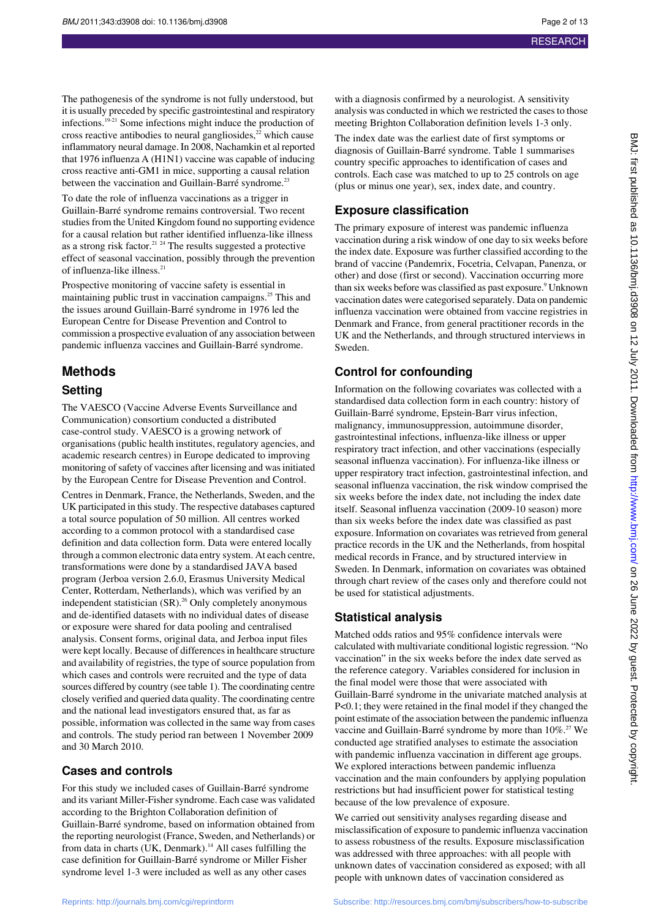The pathogenesis of the syndrome is not fully understood, but it is usually preceded by specific gastrointestinal and respiratory infections.19-21 Some infections might induce the production of cross reactive antibodies to neural gangliosides,<sup>22</sup> which cause inflammatory neural damage. In 2008, Nachamkin et al reported that 1976 influenza A (H1N1) vaccine was capable of inducing cross reactive anti-GM1 in mice, supporting a causal relation between the vaccination and Guillain-Barré syndrome.<sup>23</sup>

To date the role of influenza vaccinations as a trigger in Guillain-Barré syndrome remains controversial. Two recent studies from the United Kingdom found no supporting evidence for a causal relation but rather identified influenza-like illness as a strong risk factor.<sup>21</sup> <sup>24</sup> The results suggested a protective effect of seasonal vaccination, possibly through the prevention of influenza-like illness.<sup>21</sup>

Prospective monitoring of vaccine safety is essential in maintaining public trust in vaccination campaigns.<sup>25</sup> This and the issues around Guillain-Barré syndrome in 1976 led the European Centre for Disease Prevention and Control to commission a prospective evaluation of any association between pandemic influenza vaccines and Guillain-Barré syndrome.

## **Methods**

#### **Setting**

The VAESCO (Vaccine Adverse Events Surveillance and Communication) consortium conducted a distributed case-control study. VAESCO is a growing network of organisations (public health institutes, regulatory agencies, and academic research centres) in Europe dedicated to improving monitoring of safety of vaccines after licensing and was initiated by the European Centre for Disease Prevention and Control.

Centres in Denmark, France, the Netherlands, Sweden, and the UK participated in this study. The respective databases captured a total source population of 50 million. All centres worked according to a common protocol with a standardised case definition and data collection form. Data were entered locally through a common electronic data entry system. At each centre, transformations were done by a standardised JAVA based program (Jerboa version 2.6.0, Erasmus University Medical Center, Rotterdam, Netherlands), which was verified by an independent statistician  $(SR)$ .<sup>26</sup> Only completely anonymous and de-identified datasets with no individual dates of disease or exposure were shared for data pooling and centralised analysis. Consent forms, original data, and Jerboa input files were kept locally. Because of differences in healthcare structure and availability of registries, the type of source population from which cases and controls were recruited and the type of data sources differed by country (see table 1). The coordinating centre closely verified and queried data quality. The coordinating centre and the national lead investigators ensured that, as far as possible, information was collected in the same way from cases and controls. The study period ran between 1 November 2009 and 30 March 2010.

#### **Cases and controls**

For this study we included cases of Guillain-Barré syndrome and its variant Miller-Fisher syndrome. Each case was validated according to the Brighton Collaboration definition of Guillain-Barré syndrome, based on information obtained from the reporting neurologist (France, Sweden, and Netherlands) or from data in charts (UK, Denmark).<sup>14</sup> All cases fulfilling the case definition for Guillain-Barré syndrome or Miller Fisher syndrome level 1-3 were included as well as any other cases

The index date was the earliest date of first symptoms or diagnosis of Guillain-Barré syndrome. Table 1 summarises country specific approaches to identification of cases and controls. Each case was matched to up to 25 controls on age (plus or minus one year), sex, index date, and country.

## **Exposure classification**

The primary exposure of interest was pandemic influenza vaccination during a risk window of one day to six weeks before the index date. Exposure was further classified according to the brand of vaccine (Pandemrix, Focetria, Celvapan, Panenza, or other) and dose (first or second). Vaccination occurring more than six weeks before was classified as past exposure.<sup>9</sup> Unknown vaccination dates were categorised separately. Data on pandemic influenza vaccination were obtained from vaccine registries in Denmark and France, from general practitioner records in the UK and the Netherlands, and through structured interviews in Sweden.

#### **Control for confounding**

Information on the following covariates was collected with a standardised data collection form in each country: history of Guillain-Barré syndrome, Epstein-Barr virus infection, malignancy, immunosuppression, autoimmune disorder, gastrointestinal infections, influenza-like illness or upper respiratory tract infection, and other vaccinations (especially seasonal influenza vaccination). For influenza-like illness or upper respiratory tract infection, gastrointestinal infection, and seasonal influenza vaccination, the risk window comprised the six weeks before the index date, not including the index date itself. Seasonal influenza vaccination (2009-10 season) more than six weeks before the index date was classified as past exposure. Information on covariates was retrieved from general practice records in the UK and the Netherlands, from hospital medical records in France, and by structured interview in Sweden. In Denmark, information on covariates was obtained through chart review of the cases only and therefore could not be used for statistical adjustments.

#### **Statistical analysis**

Matched odds ratios and 95% confidence intervals were calculated with multivariate conditional logistic regression. "No vaccination" in the six weeks before the index date served as the reference category. Variables considered for inclusion in the final model were those that were associated with Guillain-Barré syndrome in the univariate matched analysis at P<0.1; they were retained in the final model if they changed the point estimate of the association between the pandemic influenza vaccine and Guillain-Barré syndrome by more than 10%.<sup>27</sup> We conducted age stratified analyses to estimate the association with pandemic influenza vaccination in different age groups. We explored interactions between pandemic influenza vaccination and the main confounders by applying population restrictions but had insufficient power for statistical testing because of the low prevalence of exposure.

We carried out sensitivity analyses regarding disease and misclassification of exposure to pandemic influenza vaccination to assess robustness of the results. Exposure misclassification was addressed with three approaches: with all people with unknown dates of vaccination considered as exposed; with all people with unknown dates of vaccination considered as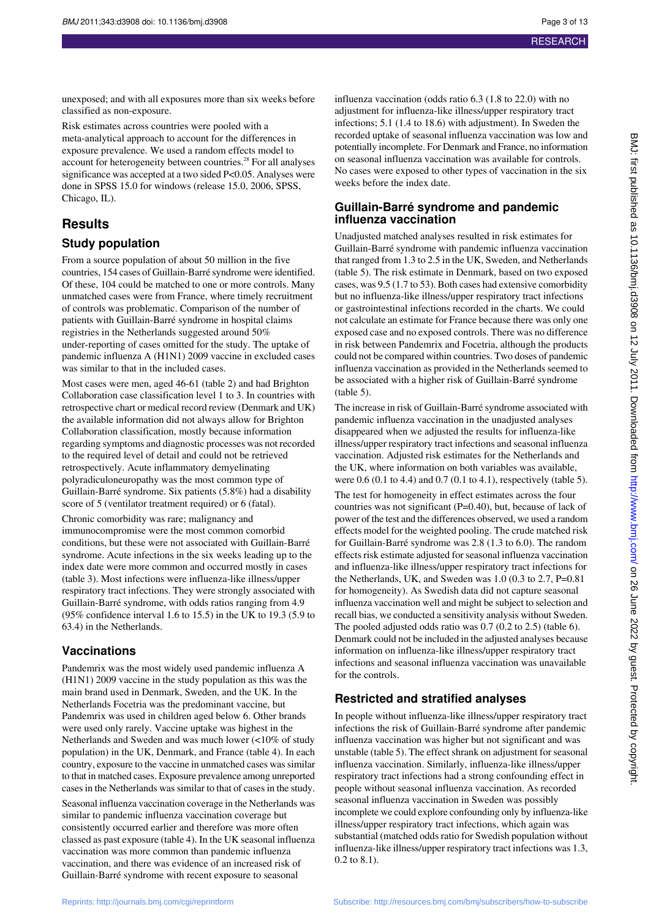unexposed; and with all exposures more than six weeks before classified as non-exposure.

Risk estimates across countries were pooled with a meta-analytical approach to account for the differences in exposure prevalence. We used a random effects model to account for heterogeneity between countries.<sup>28</sup> For all analyses significance was accepted at a two sided P<0.05. Analyses were done in SPSS 15.0 for windows (release 15.0, 2006, SPSS, Chicago, IL).

## **Results**

#### **Study population**

From a source population of about 50 million in the five countries, 154 cases of Guillain-Barré syndrome were identified. Of these, 104 could be matched to one or more controls. Many unmatched cases were from France, where timely recruitment of controls was problematic. Comparison of the number of patients with Guillain-Barré syndrome in hospital claims registries in the Netherlands suggested around 50% under-reporting of cases omitted for the study. The uptake of pandemic influenza A (H1N1) 2009 vaccine in excluded cases was similar to that in the included cases.

Most cases were men, aged 46-61 (table 2) and had Brighton Collaboration case classification level 1 to 3. In countries with retrospective chart or medical record review (Denmark and UK) the available information did not always allow for Brighton Collaboration classification, mostly because information regarding symptoms and diagnostic processes was not recorded to the required level of detail and could not be retrieved retrospectively. Acute inflammatory demyelinating polyradiculoneuropathy was the most common type of Guillain-Barré syndrome. Six patients (5.8%) had a disability score of 5 (ventilator treatment required) or 6 (fatal).

Chronic comorbidity was rare; malignancy and immunocompromise were the most common comorbid conditions, but these were not associated with Guillain-Barré syndrome. Acute infections in the six weeks leading up to the index date were more common and occurred mostly in cases (table 3). Most infections were influenza-like illness/upper respiratory tract infections. They were strongly associated with Guillain-Barré syndrome, with odds ratios ranging from 4.9 (95% confidence interval 1.6 to 15.5) in the UK to 19.3 (5.9 to 63.4) in the Netherlands.

#### **Vaccinations**

Pandemrix was the most widely used pandemic influenza A (H1N1) 2009 vaccine in the study population as this was the main brand used in Denmark, Sweden, and the UK. In the Netherlands Focetria was the predominant vaccine, but Pandemrix was used in children aged below 6. Other brands were used only rarely. Vaccine uptake was highest in the Netherlands and Sweden and was much lower (<10% of study population) in the UK, Denmark, and France (table 4). In each country, exposure to the vaccine in unmatched cases was similar to that in matched cases. Exposure prevalence among unreported cases in the Netherlands was similar to that of cases in the study.

Seasonal influenza vaccination coverage in the Netherlands was similar to pandemic influenza vaccination coverage but consistently occurred earlier and therefore was more often classed as past exposure (table 4). In the UK seasonal influenza vaccination was more common than pandemic influenza vaccination, and there was evidence of an increased risk of Guillain-Barré syndrome with recent exposure to seasonal

influenza vaccination (odds ratio 6.3 (1.8 to 22.0) with no adjustment for influenza-like illness/upper respiratory tract infections; 5.1 (1.4 to 18.6) with adjustment). In Sweden the recorded uptake of seasonal influenza vaccination was low and potentially incomplete. For Denmark and France, no information on seasonal influenza vaccination was available for controls. No cases were exposed to other types of vaccination in the six weeks before the index date.

#### **Guillain-Barré syndrome and pandemic influenza vaccination**

Unadjusted matched analyses resulted in risk estimates for Guillain-Barré syndrome with pandemic influenza vaccination that ranged from 1.3 to 2.5 in the UK, Sweden, and Netherlands (table 5). The risk estimate in Denmark, based on two exposed cases, was 9.5 (1.7 to 53). Both cases had extensive comorbidity but no influenza-like illness/upper respiratory tract infections or gastrointestinal infections recorded in the charts. We could not calculate an estimate for France because there was only one exposed case and no exposed controls. There was no difference in risk between Pandemrix and Focetria, although the products could not be compared within countries. Two doses of pandemic influenza vaccination as provided in the Netherlands seemed to be associated with a higher risk of Guillain-Barré syndrome (table 5).

The increase in risk of Guillain-Barré syndrome associated with pandemic influenza vaccination in the unadjusted analyses disappeared when we adjusted the results for influenza-like illness/upper respiratory tract infections and seasonal influenza vaccination. Adjusted risk estimates for the Netherlands and the UK, where information on both variables was available, were 0.6 (0.1 to 4.4) and 0.7 (0.1 to 4.1), respectively (table 5). The test for homogeneity in effect estimates across the four countries was not significant (P=0.40), but, because of lack of power of the test and the differences observed, we used a random effects model for the weighted pooling. The crude matched risk for Guillain-Barré syndrome was 2.8 (1.3 to 6.0). The random effects risk estimate adjusted for seasonal influenza vaccination and influenza-like illness/upper respiratory tract infections for the Netherlands, UK, and Sweden was 1.0 (0.3 to 2.7, P=0.81 for homogeneity). As Swedish data did not capture seasonal influenza vaccination well and might be subject to selection and recall bias, we conducted a sensitivity analysis without Sweden. The pooled adjusted odds ratio was 0.7 (0.2 to 2.5) (table 6). Denmark could not be included in the adjusted analyses because information on influenza-like illness/upper respiratory tract infections and seasonal influenza vaccination was unavailable for the controls.

## **Restricted and stratified analyses**

In people without influenza-like illness/upper respiratory tract infections the risk of Guillain-Barré syndrome after pandemic influenza vaccination was higher but not significant and was unstable (table 5). The effect shrank on adjustment for seasonal influenza vaccination. Similarly, influenza-like illness/upper respiratory tract infections had a strong confounding effect in people without seasonal influenza vaccination. As recorded seasonal influenza vaccination in Sweden was possibly incomplete we could explore confounding only by influenza-like illness/upper respiratory tract infections, which again was substantial (matched odds ratio for Swedish population without influenza-like illness/upper respiratory tract infections was 1.3, 0.2 to 8.1).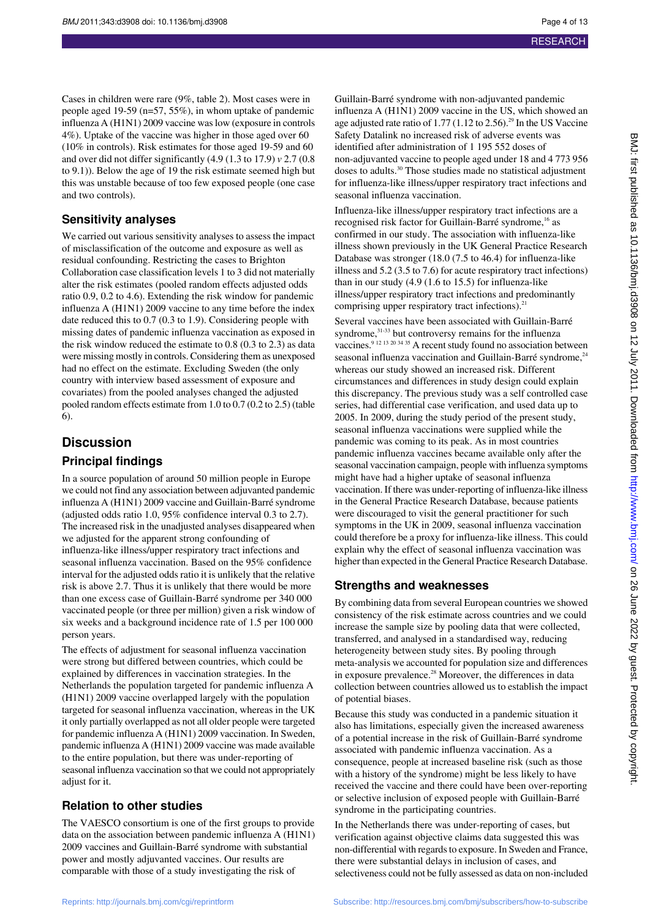Cases in children were rare (9%, table 2). Most cases were in people aged 19-59 (n=57, 55%), in whom uptake of pandemic influenza A (H1N1) 2009 vaccine was low (exposure in controls 4%). Uptake of the vaccine was higher in those aged over 60 (10% in controls). Risk estimates for those aged 19-59 and 60 and over did not differ significantly (4.9 (1.3 to 17.9) *v* 2.7 (0.8 to 9.1)). Below the age of 19 the risk estimate seemed high but this was unstable because of too few exposed people (one case and two controls).

#### **Sensitivity analyses**

We carried out various sensitivity analyses to assess the impact of misclassification of the outcome and exposure as well as residual confounding. Restricting the cases to Brighton Collaboration case classification levels 1 to 3 did not materially alter the risk estimates (pooled random effects adjusted odds ratio 0.9, 0.2 to 4.6). Extending the risk window for pandemic influenza A (H1N1) 2009 vaccine to any time before the index date reduced this to 0.7 (0.3 to 1.9). Considering people with missing dates of pandemic influenza vaccination as exposed in the risk window reduced the estimate to 0.8 (0.3 to 2.3) as data were missing mostly in controls. Considering them as unexposed had no effect on the estimate. Excluding Sweden (the only country with interview based assessment of exposure and covariates) from the pooled analyses changed the adjusted pooled random effects estimate from 1.0 to 0.7 (0.2 to 2.5) (table 6).

## **Discussion**

#### **Principal findings**

In a source population of around 50 million people in Europe we could not find any association between adjuvanted pandemic influenza A (H1N1) 2009 vaccine and Guillain-Barré syndrome (adjusted odds ratio 1.0, 95% confidence interval 0.3 to 2.7). The increased risk in the unadjusted analyses disappeared when we adjusted for the apparent strong confounding of influenza-like illness/upper respiratory tract infections and seasonal influenza vaccination. Based on the 95% confidence interval for the adjusted odds ratio it is unlikely that the relative risk is above 2.7. Thus it is unlikely that there would be more than one excess case of Guillain-Barré syndrome per 340 000 vaccinated people (or three per million) given a risk window of six weeks and a background incidence rate of 1.5 per 100 000 person years.

The effects of adjustment for seasonal influenza vaccination were strong but differed between countries, which could be explained by differences in vaccination strategies. In the Netherlands the population targeted for pandemic influenza A (H1N1) 2009 vaccine overlapped largely with the population targeted for seasonal influenza vaccination, whereas in the UK it only partially overlapped as not all older people were targeted for pandemic influenza A (H1N1) 2009 vaccination. In Sweden, pandemic influenza A (H1N1) 2009 vaccine was made available to the entire population, but there was under-reporting of seasonal influenza vaccination so that we could not appropriately adjust for it.

## **Relation to other studies**

The VAESCO consortium is one of the first groups to provide data on the association between pandemic influenza A (H1N1) 2009 vaccines and Guillain-Barré syndrome with substantial power and mostly adjuvanted vaccines. Our results are comparable with those of a study investigating the risk of

Guillain-Barré syndrome with non-adjuvanted pandemic influenza A (H1N1) 2009 vaccine in the US, which showed an age adjusted rate ratio of 1.77 (1.12 to 2.56).<sup>29</sup> In the US Vaccine Safety Datalink no increased risk of adverse events was identified after administration of 1 195 552 doses of non-adjuvanted vaccine to people aged under 18 and 4 773 956 doses to adults.<sup>30</sup> Those studies made no statistical adjustment for influenza-like illness/upper respiratory tract infections and seasonal influenza vaccination.

Influenza-like illness/upper respiratory tract infections are a recognised risk factor for Guillain-Barré syndrome,<sup>16</sup> as confirmed in our study. The association with influenza-like illness shown previously in the UK General Practice Research Database was stronger (18.0 (7.5 to 46.4) for influenza-like illness and 5.2 (3.5 to 7.6) for acute respiratory tract infections) than in our study (4.9 (1.6 to 15.5) for influenza-like illness/upper respiratory tract infections and predominantly comprising upper respiratory tract infections).<sup>21</sup>

Several vaccines have been associated with Guillain-Barré syndrome,<sup>31-33</sup> but controversy remains for the influenza vaccines.<sup>9 12 13 20 34 35</sup> A recent study found no association between seasonal influenza vaccination and Guillain-Barré syndrome,<sup>24</sup> whereas our study showed an increased risk. Different circumstances and differences in study design could explain this discrepancy. The previous study was a self controlled case series, had differential case verification, and used data up to 2005. In 2009, during the study period of the present study, seasonal influenza vaccinations were supplied while the pandemic was coming to its peak. As in most countries pandemic influenza vaccines became available only after the seasonal vaccination campaign, people with influenza symptoms might have had a higher uptake of seasonal influenza vaccination. If there was under-reporting of influenza-like illness in the General Practice Research Database, because patients were discouraged to visit the general practitioner for such symptoms in the UK in 2009, seasonal influenza vaccination could therefore be a proxy for influenza-like illness. This could explain why the effect of seasonal influenza vaccination was higher than expected in the General Practice Research Database.

#### **Strengths and weaknesses**

By combining data from several European countries we showed consistency of the risk estimate across countries and we could increase the sample size by pooling data that were collected, transferred, and analysed in a standardised way, reducing heterogeneity between study sites. By pooling through meta-analysis we accounted for population size and differences in exposure prevalence.<sup>28</sup> Moreover, the differences in data collection between countries allowed us to establish the impact of potential biases.

Because this study was conducted in a pandemic situation it also has limitations, especially given the increased awareness of a potential increase in the risk of Guillain-Barré syndrome associated with pandemic influenza vaccination. As a consequence, people at increased baseline risk (such as those with a history of the syndrome) might be less likely to have received the vaccine and there could have been over-reporting or selective inclusion of exposed people with Guillain-Barré syndrome in the participating countries.

In the Netherlands there was under-reporting of cases, but verification against objective claims data suggested this was non-differential with regards to exposure. In Sweden and France, there were substantial delays in inclusion of cases, and selectiveness could not be fully assessed as data on non-included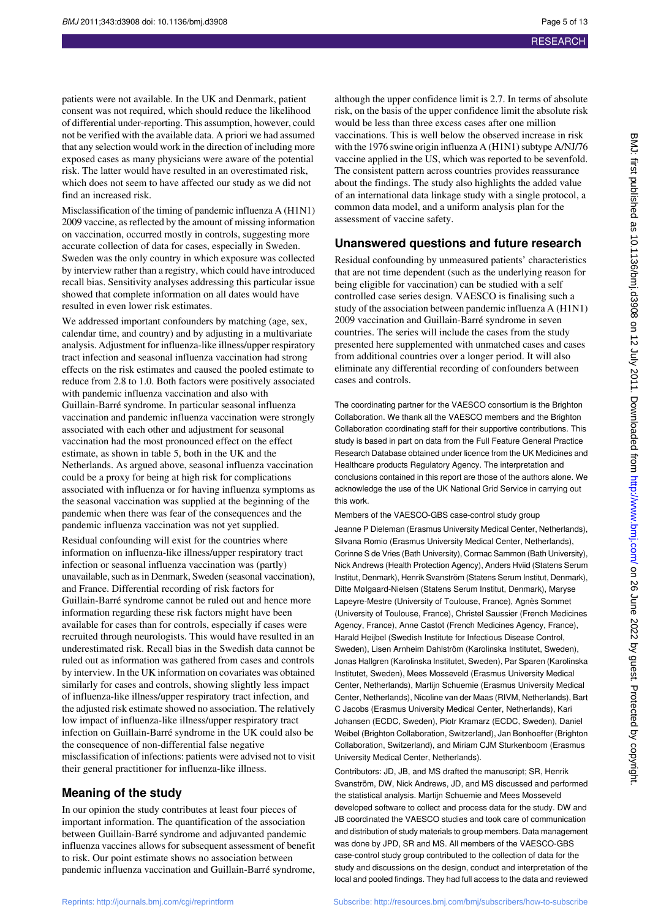patients were not available. In the UK and Denmark, patient consent was not required, which should reduce the likelihood of differential under-reporting. This assumption, however, could not be verified with the available data. A priori we had assumed that any selection would work in the direction of including more exposed cases as many physicians were aware of the potential risk. The latter would have resulted in an overestimated risk, which does not seem to have affected our study as we did not find an increased risk.

Misclassification of the timing of pandemic influenza A (H1N1) 2009 vaccine, as reflected by the amount of missing information on vaccination, occurred mostly in controls, suggesting more accurate collection of data for cases, especially in Sweden. Sweden was the only country in which exposure was collected by interview rather than a registry, which could have introduced recall bias. Sensitivity analyses addressing this particular issue showed that complete information on all dates would have resulted in even lower risk estimates.

We addressed important confounders by matching (age, sex, calendar time, and country) and by adjusting in a multivariate analysis. Adjustment for influenza-like illness/upper respiratory tract infection and seasonal influenza vaccination had strong effects on the risk estimates and caused the pooled estimate to reduce from 2.8 to 1.0. Both factors were positively associated with pandemic influenza vaccination and also with Guillain-Barré syndrome. In particular seasonal influenza vaccination and pandemic influenza vaccination were strongly associated with each other and adjustment for seasonal vaccination had the most pronounced effect on the effect estimate, as shown in table 5, both in the UK and the Netherlands. As argued above, seasonal influenza vaccination could be a proxy for being at high risk for complications associated with influenza or for having influenza symptoms as the seasonal vaccination was supplied at the beginning of the pandemic when there was fear of the consequences and the pandemic influenza vaccination was not yet supplied.

Residual confounding will exist for the countries where information on influenza-like illness/upper respiratory tract infection or seasonal influenza vaccination was (partly) unavailable, such as in Denmark, Sweden (seasonal vaccination), and France. Differential recording of risk factors for Guillain-Barré syndrome cannot be ruled out and hence more information regarding these risk factors might have been available for cases than for controls, especially if cases were recruited through neurologists. This would have resulted in an underestimated risk. Recall bias in the Swedish data cannot be ruled out as information was gathered from cases and controls by interview. In the UK information on covariates was obtained similarly for cases and controls, showing slightly less impact of influenza-like illness/upper respiratory tract infection, and the adjusted risk estimate showed no association. The relatively low impact of influenza-like illness/upper respiratory tract infection on Guillain-Barré syndrome in the UK could also be the consequence of non-differential false negative misclassification of infections: patients were advised not to visit their general practitioner for influenza-like illness.

#### **Meaning of the study**

In our opinion the study contributes at least four pieces of important information. The quantification of the association between Guillain-Barré syndrome and adjuvanted pandemic influenza vaccines allows for subsequent assessment of benefit to risk. Our point estimate shows no association between pandemic influenza vaccination and Guillain-Barré syndrome,

although the upper confidence limit is 2.7. In terms of absolute risk, on the basis of the upper confidence limit the absolute risk would be less than three excess cases after one million vaccinations. This is well below the observed increase in risk with the 1976 swine origin influenza A (H1N1) subtype A/NJ/76 vaccine applied in the US, which was reported to be sevenfold. The consistent pattern across countries provides reassurance about the findings. The study also highlights the added value of an international data linkage study with a single protocol, a common data model, and a uniform analysis plan for the assessment of vaccine safety.

#### **Unanswered questions and future research**

Residual confounding by unmeasured patients' characteristics that are not time dependent (such as the underlying reason for being eligible for vaccination) can be studied with a self controlled case series design. VAESCO is finalising such a study of the association between pandemic influenza A (H1N1) 2009 vaccination and Guillain-Barré syndrome in seven countries. The series will include the cases from the study presented here supplemented with unmatched cases and cases from additional countries over a longer period. It will also eliminate any differential recording of confounders between cases and controls.

The coordinating partner for the VAESCO consortium is the Brighton Collaboration. We thank all the VAESCO members and the Brighton Collaboration coordinating staff for their supportive contributions. This study is based in part on data from the Full Feature General Practice Research Database obtained under licence from the UK Medicines and Healthcare products Regulatory Agency. The interpretation and conclusions contained in this report are those of the authors alone. We acknowledge the use of the UK National Grid Service in carrying out this work.

Members of the VAESCO-GBS case-control study group

Jeanne P Dieleman (Erasmus University Medical Center, Netherlands), Silvana Romio (Erasmus University Medical Center, Netherlands), Corinne S de Vries (Bath University), Cormac Sammon (Bath University), Nick Andrews (Health Protection Agency), Anders Hviid (Statens Serum Institut, Denmark), Henrik Svanström (Statens Serum Institut, Denmark), Ditte Mølgaard-Nielsen (Statens Serum Institut, Denmark), Maryse Lapeyre-Mestre (University of Toulouse, France), Agnès Sommet (University of Toulouse, France), Christel Saussier (French Medicines Agency, France), Anne Castot (French Medicines Agency, France), Harald Heijbel (Swedish Institute for Infectious Disease Control, Sweden), Lisen Arnheim Dahlström (Karolinska Institutet, Sweden), Jonas Hallgren (Karolinska Institutet, Sweden), Par Sparen (Karolinska Institutet, Sweden), Mees Mosseveld (Erasmus University Medical Center, Netherlands), Martijn Schuemie (Erasmus University Medical Center, Netherlands), Nicoline van der Maas (RIVM, Netherlands), Bart C Jacobs (Erasmus University Medical Center, Netherlands), Kari Johansen (ECDC, Sweden), Piotr Kramarz (ECDC, Sweden), Daniel Weibel (Brighton Collaboration, Switzerland), Jan Bonhoeffer (Brighton Collaboration, Switzerland), and Miriam CJM Sturkenboom (Erasmus University Medical Center, Netherlands).

Contributors: JD, JB, and MS drafted the manuscript; SR, Henrik Svanström, DW, Nick Andrews, JD, and MS discussed and performed the statistical analysis. Martijn Schuemie and Mees Mosseveld developed software to collect and process data for the study. DW and JB coordinated the VAESCO studies and took care of communication and distribution of study materials to group members. Data management was done by JPD, SR and MS. All members of the VAESCO-GBS case-control study group contributed to the collection of data for the study and discussions on the design, conduct and interpretation of the local and pooled findings. They had full access to the data and reviewed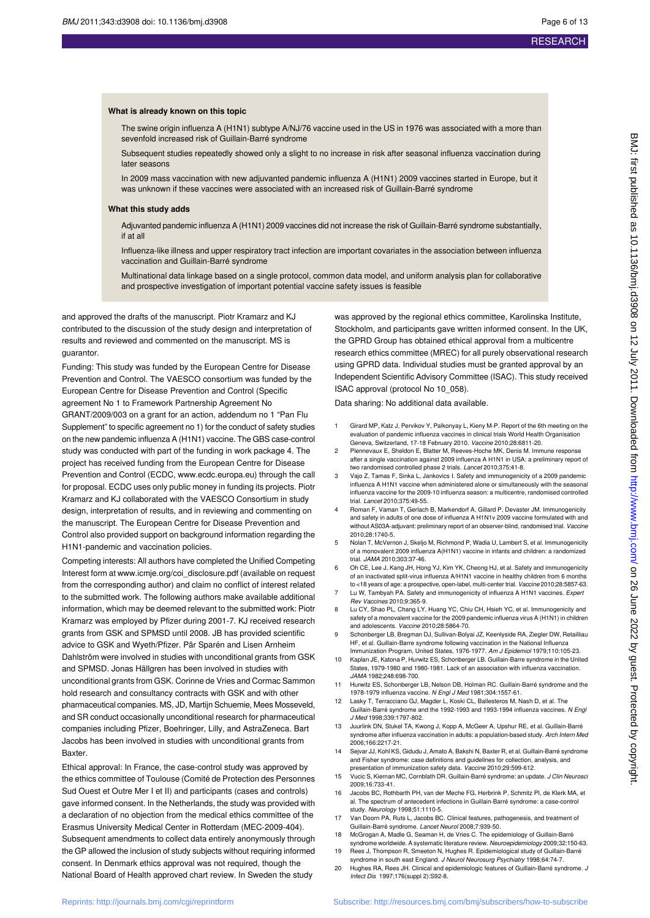#### **What is already known on this topic**

The swine origin influenza A (H1N1) subtype A/NJ/76 vaccine used in the US in 1976 was associated with a more than sevenfold increased risk of Guillain-Barré syndrome

Subsequent studies repeatedly showed only a slight to no increase in risk after seasonal influenza vaccination during later seasons

In 2009 mass vaccination with new adjuvanted pandemic influenza A (H1N1) 2009 vaccines started in Europe, but it was unknown if these vaccines were associated with an increased risk of Guillain-Barré syndrome

#### **What this study adds**

Adjuvanted pandemic influenza A (H1N1) 2009 vaccines did not increase the risk of Guillain-Barré syndrome substantially, if at all

Influenza-like illness and upper respiratory tract infection are important covariates in the association between influenza vaccination and Guillain-Barré syndrome

Multinational data linkage based on a single protocol, common data model, and uniform analysis plan for collaborative and prospective investigation of important potential vaccine safety issues is feasible

and approved the drafts of the manuscript. Piotr Kramarz and KJ contributed to the discussion of the study design and interpretation of results and reviewed and commented on the manuscript. MS is guarantor.

Funding: This study was funded by the European Centre for Disease Prevention and Control. The VAESCO consortium was funded by the European Centre for Disease Prevention and Control (Specific agreement No 1 to Framework Partnership Agreement No GRANT/2009/003 on a grant for an action, addendum no 1 "Pan Flu Supplement" to specific agreement no 1) for the conduct of safety studies on the new pandemic influenza A (H1N1) vaccine. The GBS case-control study was conducted with part of the funding in work package 4. The project has received funding from the European Centre for Disease Prevention and Control (ECDC, www.ecdc.europa.eu) through the call for proposal. ECDC uses only public money in funding its projects. Piotr Kramarz and KJ collaborated with the VAESCO Consortium in study design, interpretation of results, and in reviewing and commenting on the manuscript. The European Centre for Disease Prevention and Control also provided support on background information regarding the H1N1-pandemic and vaccination policies.

Competing interests: All authors have completed the Unified Competing Interest form at www.icmje.org/coi\_disclosure.pdf (available on request from the corresponding author) and claim no conflict of interest related to the submitted work. The following authors make available additional information, which may be deemed relevant to the submitted work: Piotr Kramarz was employed by Pfizer during 2001-7. KJ received research grants from GSK and SPMSD until 2008. JB has provided scientific advice to GSK and Wyeth/Pfizer. Pär Sparén and Lisen Arnheim Dahlström were involved in studies with unconditional grants from GSK and SPMSD. Jonas Hällgren has been involved in studies with unconditional grants from GSK. Corinne de Vries and Cormac Sammon hold research and consultancy contracts with GSK and with other pharmaceutical companies. MS, JD, Martijn Schuemie, Mees Mosseveld, and SR conduct occasionally unconditional research for pharmaceutical companies including Pfizer, Boehringer, Lilly, and AstraZeneca. Bart Jacobs has been involved in studies with unconditional grants from **Baxter** 

Ethical approval: In France, the case-control study was approved by the ethics committee of Toulouse (Comité de Protection des Personnes Sud Ouest et Outre Mer I et II) and participants (cases and controls) gave informed consent. In the Netherlands, the study was provided with a declaration of no objection from the medical ethics committee of the Erasmus University Medical Center in Rotterdam (MEC-2009-404). Subsequent amendments to collect data entirely anonymously through the GP allowed the inclusion of study subjects without requiring informed consent. In Denmark ethics approval was not required, though the National Board of Health approved chart review. In Sweden the study

was approved by the regional ethics committee, Karolinska Institute, Stockholm, and participants gave written informed consent. In the UK, the GPRD Group has obtained ethical approval from a multicentre research ethics committee (MREC) for all purely observational research using GPRD data. Individual studies must be granted approval by an Independent Scientific Advisory Committee (ISAC). This study received ISAC approval (protocol No 10\_058).

Data sharing: No additional data available.

- 1 Girard MP, Katz J, Pervikov Y, Palkonyay L, Kieny M-P. Report of the 6th meeting on the evaluation of pandemic influenza vaccines in clinical trials World Health Organisation Geneva, Switzerland, 17-18 February 2010. Vaccine 2010;28:6811-20.
- 2 Plennevaux E, Sheldon E, Blatter M, Reeves-Hoche MK, Denis M. Immune response after a single vaccination against 2009 influenza A H1N1 in USA: a preliminary report of two randomised controlled phase 2 trials. Lancet 2010;375:41-8.
- 3 Vajo Z, Tamas F, Sinka L, Jankovics I. Safety and immunogenicity of a 2009 pandemic influenza A H1N1 vaccine when administered alone or simultaneously with the seasonal influenza vaccine for the 2009-10 influenza season: a multicentre, randomised controlled trial. Lancet 2010;375:49-55.
- 4 Roman F, Vaman T, Gerlach B, Markendorf A, Gillard P, Devaster JM. Immunogenicity and safety in adults of one dose of influenza A H1N1v 2009 vaccine formulated with and without AS03A-adjuvant: preliminary report of an observer-blind, randomised trial. Vaccine 2010;28:1740-5.
- 5 Nolan T, McVernon J, Skeljo M, Richmond P, Wadia U, Lambert S, et al. Immunogenicity of a monovalent 2009 influenza A(H1N1) vaccine in infants and children: a randomized trial. JAMA 2010;303:37-46.
- 6 Oh CE, Lee J, Kang JH, Hong YJ, Kim YK, Cheong HJ, et al. Safety and immunogenicity of an inactivated split-virus influenza A/H1N1 vaccine in healthy children from 6 months to <18 years of age: a prospective, open-label, multi-center trial. Vaccine 2010;28:5857-63.
- Lu W, Tambyah PA. Safety and immunogenicity of influenza A H1N1 vaccines. Expert Rev Vaccines 2010;9:365-9. 8 Lu CY, Shao PL, Chang LY, Huang YC, Chiu CH, Hsieh YC, et al. Immunogenicity and
- safety of a monovalent vaccine for the 2009 pandemic influenza virus A (H1N1) in children and adolescents. Vaccine 2010;28:5864-70.
- 9 Schonberger LB, Bregman DJ, Sullivan-Bolyai JZ, Keenlyside RA, Ziegler DW, Retailliau HF, et al. Guillain-Barre syndrome following vaccination in the National Influenza Immunization Program, United States, 1976-1977. Am J Epidemiol 1979;110:105-23.
- 10 Kaplan JE, Katona P, Hurwitz ES, Schonberger LB. Guillain-Barre syndrome in the United States, 1979-1980 and 1980-1981. Lack of an association with influenza vaccination. JAMA 1982;248:698-700.
- 11 Hurwitz ES, Schonberger LB, Nelson DB, Holman RC. Guillain-Barré syndrome and the 1978-1979 influenza vaccine. N Engl J Med 1981;304:1557-61.
- 12 Lasky T, Terracciano GJ, Magder L, Koski CL, Ballesteros M, Nash D, et al. The Guillain-Barré syndrome and the 1992-1993 and 1993-1994 influenza vaccines. N Engl J Med 1998;339:1797-802.
- 13 Juurlink DN, Stukel TA, Kwong J, Kopp A, McGeer A, Upshur RE, et al. Guillain-Barré syndrome after influenza vaccination in adults: a population-based study. Arch Intern Med 2006;166:2217-21.
- 14 Sejvar JJ, Kohl KS, Gidudu J, Amato A, Bakshi N, Baxter R, et al. Guillain-Barré syndrome and Fisher syndrome: case definitions and guidelines for collection, analysis, and presentation of immunization safety data. Vaccine 2010;29:599-612.
- 15 Vucic S, Kiernan MC, Cornblath DR. Guillain-Barré syndrome: an update. J Clin Neurosci 2009;16:733-41.
- 16 Jacobs BC, Rothbarth PH, van der Meche FG, Herbrink P, Schmitz PI, de Klerk MA, et al. The spectrum of antecedent infections in Guillain-Barré syndrome: a case-control study. Neurology 1998;51:1110-5.
- 17 Van Doorn PA, Ruts L, Jacobs BC. Clinical features, pathogenesis, and treatment of Guillain-Barré syndrome. Lancet Neurol 2008;7:939-50.
- 18 McGrogan A, Madle G, Seaman H, de Vries C. The epidemiology of Guillain-Barré syndrome worldwide. A systematic literature review. Neuroepidemiology 2009;32:150-63.
- 19 Rees J, Thompson R, Smeeton N, Hughes R. Epidemiological study of Guillain-Barré syndrome in south east England. J Neurol Neurosurg Psychiatry 1998;64:74-7.
- 20 Hughes RA, Rees JH. Clinical and epidemiologic features of Guillain-Barré syndrome. J Infect Dis 1997;176(suppl 2):S92-8.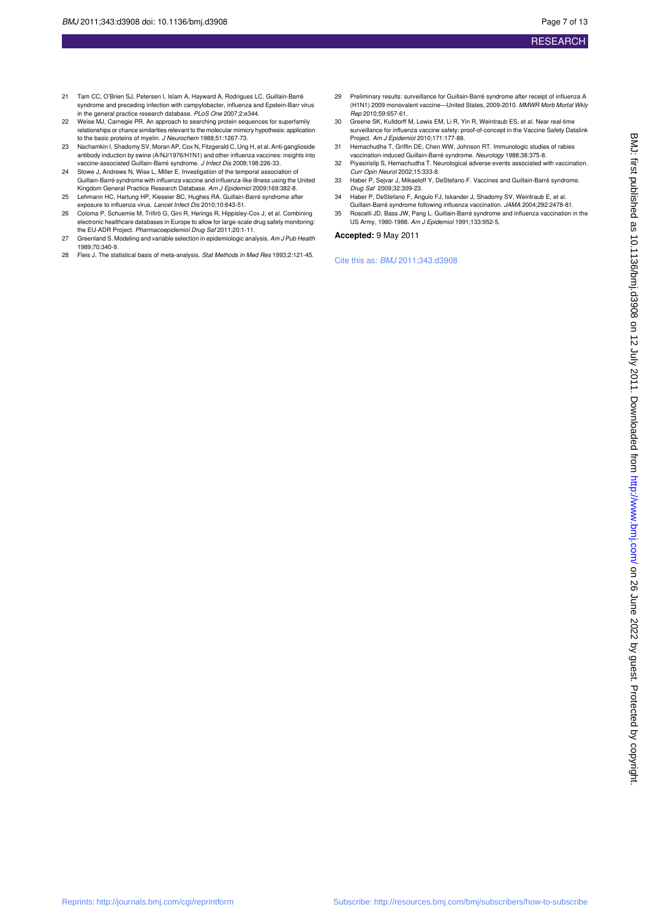- 21 Tam CC, O'Brien SJ, Petersen I, Islam A, Hayward A, Rodrigues LC. Guillain-Barré syndrome and preceding infection with campylobacter, influenza and Epstein-Barr virus in the general practice research database. PLoS One 2007;2:e344.
- 22 Weise MJ, Carnegie PR. An approach to searching protein sequences for superfamily relationships or chance similarities relevant to the molecular mimicry hypothesis: application to the basic proteins of myelin. J Neurochem 1988;51:1267-73.
- 23 Nachamkin I, Shadomy SV, Moran AP, Cox N, Fitzgerald C, Ung H, et al. Anti-ganglioside antibody induction by swine (A/NJ/1976/H1N1) and other influenza vaccines: insights into vaccine-associated Guillain-Barré syndrome. J Infect Dis 2008;198:226-33.
- 24 Stowe J, Andrews N, Wise L, Miller E. Investigation of the temporal association of Guillain-Barré syndrome with influenza vaccine and influenza-like illness using the United Kingdom General Practice Research Database. Am J Epidemiol 2009;169:382-8.
- 25 Lehmann HC, Hartung HP, Kieseier BC, Hughes RA. Guillain-Barré syndrome after exposure to influenza virus. Lancet Infect Dis 2010;10:643-51.
- 26 Coloma P, Schuemie M, Trifirò G, Gini R, Herings R, Hippisley-Cox J, et al. Combining electronic healthcare databases in Europe to allow for large-scale drug safety monitoring:<br>the EU-ADR Project. *Pharmacoepidemiol Drug Saf* 2011;20:1-11.
- 27 Greenland S. Modeling and variable selection in epidemiologic analysis. Am J Pub Health 1989;70:340-9.
- 28 Fleis J. The statistical basis of meta-analysis. Stat Methods in Med Res 1993;2:121-45.
- 29 Preliminary results: surveillance for Guillain-Barré syndrome after receipt of influenza A (H1N1) 2009 monovalent vaccine—United States, 2009-2010. MMWR Morb Mortal Wkly Rep 2010;59:657-61.
- 30 Greene SK, Kulldorff M, Lewis EM, Li R, Yin R, Weintraub ES, et al. Near real-time surveillance for influenza vaccine safety: proof-of-concept in the Vaccine Safety Datalink<br>Project. *Am J Epidemiol* 2010;171:177-88.
- 31 Hemachudha T, Griffin DE, Chen WW, Johnson RT. Immunologic studies of rabies vaccination-induced Guillain-Barré syndrome. Neurology 1988;38:375-8.
- 32 Piyasirisilp S, Hemachudha T. Neurological adverse events associated with vaccination. Curr Opin Neurol 2002;15:333-8.
- 33 Haber P, Sejvar J, Mikaeloff Y, DeStefano F. Vaccines and Guillain-Barré syndrome. Drug Saf 2009;32:309-23.
- 34 Haber P, DeStefano F, Angulo FJ, Iskander J, Shadomy SV, Weintraub E, et al. Guillain-Barré syndrome following influenza vaccination. JAMA 2004;292:2478-81.
- 35 Roscelli JD, Bass JW, Pang L. Guillain-Barré syndrome and influenza vaccination in the US Army, 1980-1988. Am J Epidemiol 1991;133:952-5.

#### **Accepted:** 9 May 2011

#### Cite this as: BMJ 2011;343:d3908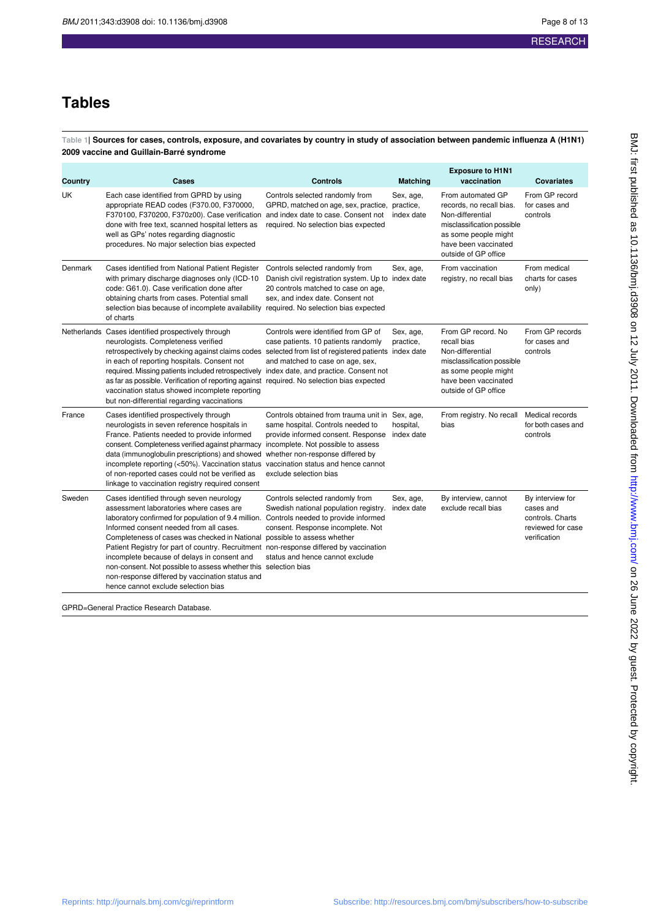## **Tables**

**Table 1| Sources for cases, controls, exposure, and covariates by country in study of association between pandemic influenza A (H1N1) 2009 vaccine and Guillain-Barré syndrome**

| Country | Cases                                                                                                                                                                                                                                                                                                                                                                                                                                                                                                                                                                                                       | <b>Controls</b>                                                                                                                                                                                     | <b>Matching</b>         | <b>Exposure to H1N1</b><br>vaccination                                                                                                                                  | <b>Covariates</b>                                                                      |
|---------|-------------------------------------------------------------------------------------------------------------------------------------------------------------------------------------------------------------------------------------------------------------------------------------------------------------------------------------------------------------------------------------------------------------------------------------------------------------------------------------------------------------------------------------------------------------------------------------------------------------|-----------------------------------------------------------------------------------------------------------------------------------------------------------------------------------------------------|-------------------------|-------------------------------------------------------------------------------------------------------------------------------------------------------------------------|----------------------------------------------------------------------------------------|
| UK      | Each case identified from GPRD by using<br>appropriate READ codes (F370.00, F370000,<br>F370100, F370200, F370z00). Case verification and index date to case. Consent not<br>done with free text, scanned hospital letters as<br>well as GPs' notes regarding diagnostic<br>procedures. No major selection bias expected                                                                                                                                                                                                                                                                                    | Controls selected randomly from<br>GPRD, matched on age, sex, practice, practice,<br>required. No selection bias expected                                                                           | Sex, age,<br>index date | From automated GP<br>records, no recall bias.<br>Non-differential<br>misclassification possible<br>as some people might<br>have been vaccinated<br>outside of GP office | From GP record<br>for cases and<br>controls                                            |
| Denmark | Cases identified from National Patient Register<br>with primary discharge diagnoses only (ICD-10<br>code: G61.0). Case verification done after<br>obtaining charts from cases. Potential small<br>selection bias because of incomplete availability required. No selection bias expected<br>of charts                                                                                                                                                                                                                                                                                                       | Controls selected randomly from<br>Danish civil registration system. Up to index date<br>20 controls matched to case on age,<br>sex, and index date. Consent not                                    | Sex, age,               | From vaccination<br>registry, no recall bias                                                                                                                            | From medical<br>charts for cases<br>only)                                              |
|         | Netherlands Cases identified prospectively through<br>neurologists. Completeness verified<br>retrospectively by checking against claims codes selected from list of registered patients index date<br>in each of reporting hospitals. Consent not<br>required. Missing patients included retrospectively index date, and practice. Consent not<br>as far as possible. Verification of reporting against required. No selection bias expected<br>vaccination status showed incomplete reporting<br>but non-differential regarding vaccinations                                                               | Controls were identified from GP of<br>case patients. 10 patients randomly<br>and matched to case on age, sex,                                                                                      | Sex, age,<br>practice,  | From GP record. No<br>recall bias<br>Non-differential<br>misclassification possible<br>as some people might<br>have been vaccinated<br>outside of GP office             | From GP records<br>for cases and<br>controls                                           |
| France  | Cases identified prospectively through<br>neurologists in seven reference hospitals in<br>France. Patients needed to provide informed<br>consent. Completeness verified against pharmacy incomplete. Not possible to assess<br>data (immunoglobulin prescriptions) and showed<br>incomplete reporting (<50%). Vaccination status vaccination status and hence cannot<br>of non-reported cases could not be verified as<br>linkage to vaccination registry required consent                                                                                                                                  | Controls obtained from trauma unit in Sex, age,<br>same hospital. Controls needed to<br>provide informed consent. Response index date<br>whether non-response differed by<br>exclude selection bias | hospital,               | From registry. No recall<br>bias                                                                                                                                        | Medical records<br>for both cases and<br>controls                                      |
| Sweden  | Cases identified through seven neurology<br>assessment laboratories where cases are<br>laboratory confirmed for population of 9.4 million. Controls needed to provide informed<br>Informed consent needed from all cases.<br>Completeness of cases was checked in National possible to assess whether<br>Patient Registry for part of country. Recruitment non-response differed by vaccination<br>incomplete because of delays in consent and<br>non-consent. Not possible to assess whether this selection bias<br>non-response differed by vaccination status and<br>hence cannot exclude selection bias | Controls selected randomly from<br>Swedish national population registry.<br>consent. Response incomplete. Not<br>status and hence cannot exclude                                                    | Sex, age,<br>index date | By interview, cannot<br>exclude recall bias                                                                                                                             | By interview for<br>cases and<br>controls. Charts<br>reviewed for case<br>verification |

GPRD=General Practice Research Database.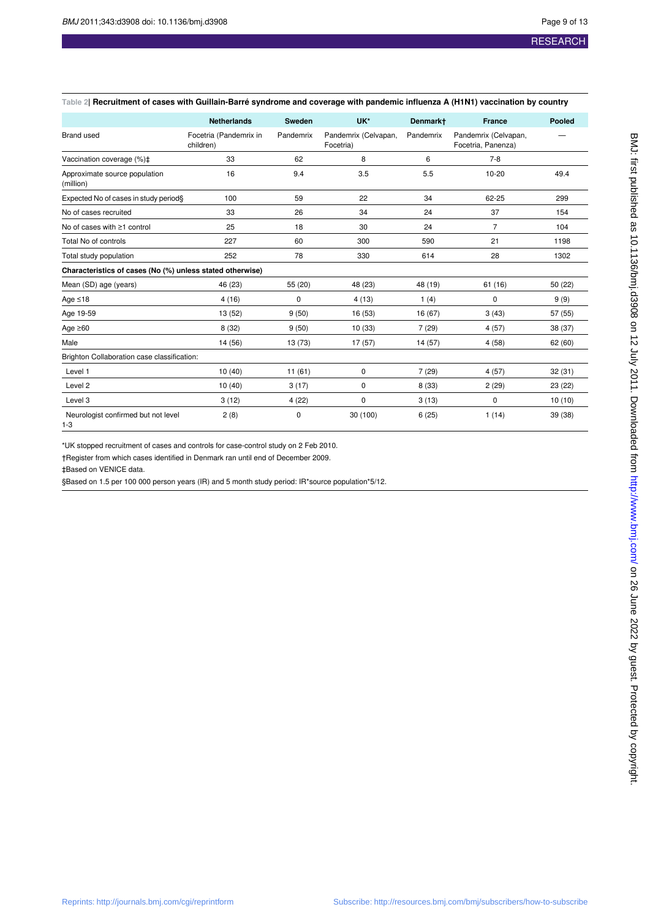#### **Table 2| Recruitment of cases with Guillain-Barré syndrome and coverage with pandemic influenza A (H1N1) vaccination by country**

|                                                           | <b>Netherlands</b>                  | <b>Sweden</b> | UK*                               | Denmark+  | <b>France</b>                              | Pooled  |
|-----------------------------------------------------------|-------------------------------------|---------------|-----------------------------------|-----------|--------------------------------------------|---------|
| <b>Brand used</b>                                         | Focetria (Pandemrix in<br>children) | Pandemrix     | Pandemrix (Celvapan,<br>Focetria) | Pandemrix | Pandemrix (Celvapan,<br>Focetria, Panenza) |         |
| Vaccination coverage (%)‡                                 | 33                                  | 62            | 8                                 | 6         | $7 - 8$                                    |         |
| Approximate source population<br>(million)                | 16                                  | 9.4           | 3.5                               | 5.5       | $10 - 20$                                  | 49.4    |
| Expected No of cases in study period§                     | 100                                 | 59            | 22                                | 34        | 62-25                                      | 299     |
| No of cases recruited                                     | 33                                  | 26            | 34                                | 24        | 37                                         | 154     |
| No of cases with ≥1 control                               | 25                                  | 18            | 30                                | 24        | $\overline{7}$                             | 104     |
| Total No of controls                                      | 227                                 | 60            | 300                               | 590       | 21                                         | 1198    |
| Total study population                                    | 252                                 | 78            | 330                               | 614       | 28                                         | 1302    |
| Characteristics of cases (No (%) unless stated otherwise) |                                     |               |                                   |           |                                            |         |
| Mean (SD) age (years)                                     | 46 (23)                             | 55 (20)       | 48 (23)                           | 48 (19)   | 61(16)                                     | 50 (22) |
| Age $\leq 18$                                             | 4(16)                               | 0             | 4(13)                             | 1(4)      | $\mathbf 0$                                | 9(9)    |
| Age 19-59                                                 | 13 (52)                             | 9(50)         | 16 (53)                           | 16 (67)   | 3(43)                                      | 57 (55) |
| Age $\geq 60$                                             | 8(32)                               | 9(50)         | 10(33)                            | 7(29)     | 4(57)                                      | 38 (37) |
| Male                                                      | 14 (56)                             | 13 (73)       | 17 (57)                           | 14 (57)   | 4(58)                                      | 62(60)  |
| Brighton Collaboration case classification:               |                                     |               |                                   |           |                                            |         |
| Level 1                                                   | 10(40)                              | 11(61)        | 0                                 | 7(29)     | 4(57)                                      | 32(31)  |
| Level 2                                                   | 10(40)                              | 3(17)         | 0                                 | 8(33)     | 2(29)                                      | 23 (22) |
| Level 3                                                   | 3(12)                               | 4(22)         | 0                                 | 3(13)     | 0                                          | 10(10)  |
| Neurologist confirmed but not level<br>$1 - 3$            | 2(8)                                | $\mathbf 0$   | 30 (100)                          | 6(25)     | 1(14)                                      | 39 (38) |

\*UK stopped recruitment of cases and controls for case-control study on 2 Feb 2010.

†Register from which cases identified in Denmark ran until end of December 2009.

‡Based on VENICE data.

§Based on 1.5 per 100 000 person years (IR) and 5 month study period: IR\*source population\*5/12.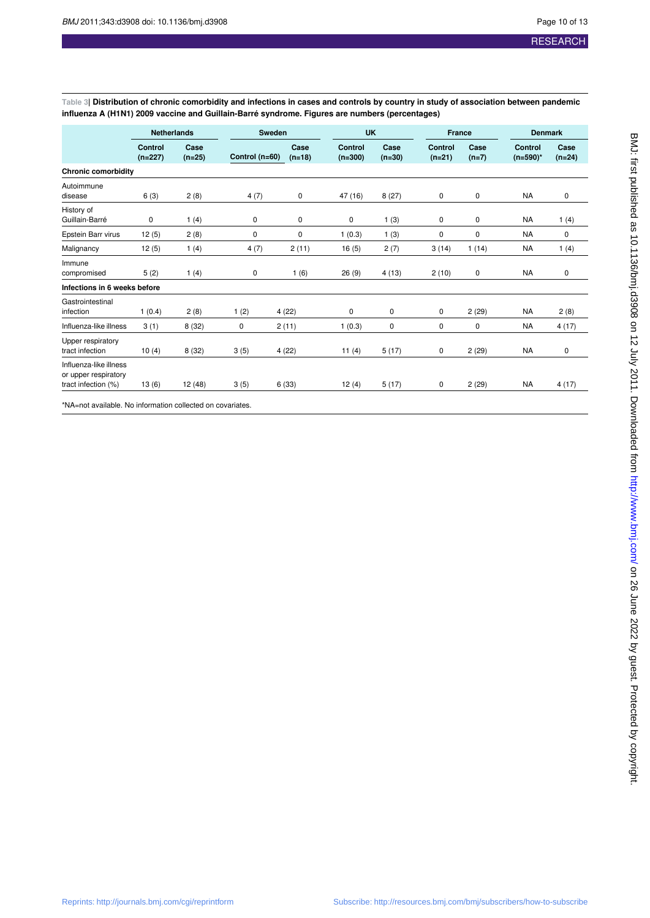**Table 3| Distribution of chronic comorbidity and infections in cases and controls by country in study of association between pandemic influenza A (H1N1) 2009 vaccine and Guillain-Barré syndrome. Figures are numbers (percentages)**

|                                                                       | <b>Netherlands</b>   |                  | Sweden         |                  | <b>UK</b>            |                  | <b>France</b>       |                 | <b>Denmark</b>                |                  |
|-----------------------------------------------------------------------|----------------------|------------------|----------------|------------------|----------------------|------------------|---------------------|-----------------|-------------------------------|------------------|
|                                                                       | Control<br>$(n=227)$ | Case<br>$(n=25)$ | Control (n=60) | Case<br>$(n=18)$ | Control<br>$(n=300)$ | Case<br>$(n=30)$ | Control<br>$(n=21)$ | Case<br>$(n=7)$ | <b>Control</b><br>$(n=590)^*$ | Case<br>$(n=24)$ |
| <b>Chronic comorbidity</b>                                            |                      |                  |                |                  |                      |                  |                     |                 |                               |                  |
| Autoimmune<br>disease                                                 | 6(3)                 | 2(8)             | 4(7)           | 0                | 47 (16)              | 8(27)            | 0                   | 0               | <b>NA</b>                     | 0                |
| History of<br>Guillain-Barré                                          | 0                    | 1(4)             | 0              | 0                | 0                    | 1(3)             | 0                   | 0               | <b>NA</b>                     | 1(4)             |
| Epstein Barr virus                                                    | 12(5)                | 2(8)             | 0              | 0                | 1(0.3)               | 1(3)             | 0                   | 0               | <b>NA</b>                     | 0                |
| Malignancy                                                            | 12(5)                | 1(4)             | 4(7)           | 2(11)            | 16(5)                | 2(7)             | 3(14)               | 1(14)           | <b>NA</b>                     | 1(4)             |
| Immune<br>compromised                                                 | 5(2)                 | 1(4)             | 0              | 1(6)             | 26(9)                | 4(13)            | 2(10)               | 0               | <b>NA</b>                     | 0                |
| Infections in 6 weeks before                                          |                      |                  |                |                  |                      |                  |                     |                 |                               |                  |
| Gastrointestinal<br>infection                                         | 1(0.4)               | 2(8)             | 1(2)           | 4(22)            | 0                    | 0                | 0                   | 2(29)           | <b>NA</b>                     | 2(8)             |
| Influenza-like illness                                                | 3(1)                 | 8(32)            | 0              | 2(11)            | 1(0.3)               | 0                | 0                   | 0               | <b>NA</b>                     | 4(17)            |
| Upper respiratory<br>tract infection                                  | 10(4)                | 8(32)            | 3(5)           | 4(22)            | 11(4)                | 5(17)            | 0                   | 2(29)           | <b>NA</b>                     | 0                |
| Influenza-like illness<br>or upper respiratory<br>tract infection (%) | 13(6)                | 12(48)           | 3(5)           | 6(33)            | 12(4)                | 5(17)            | 0                   | 2(29)           | <b>NA</b>                     | 4(17)            |

\*NA=not available. No information collected on covariates.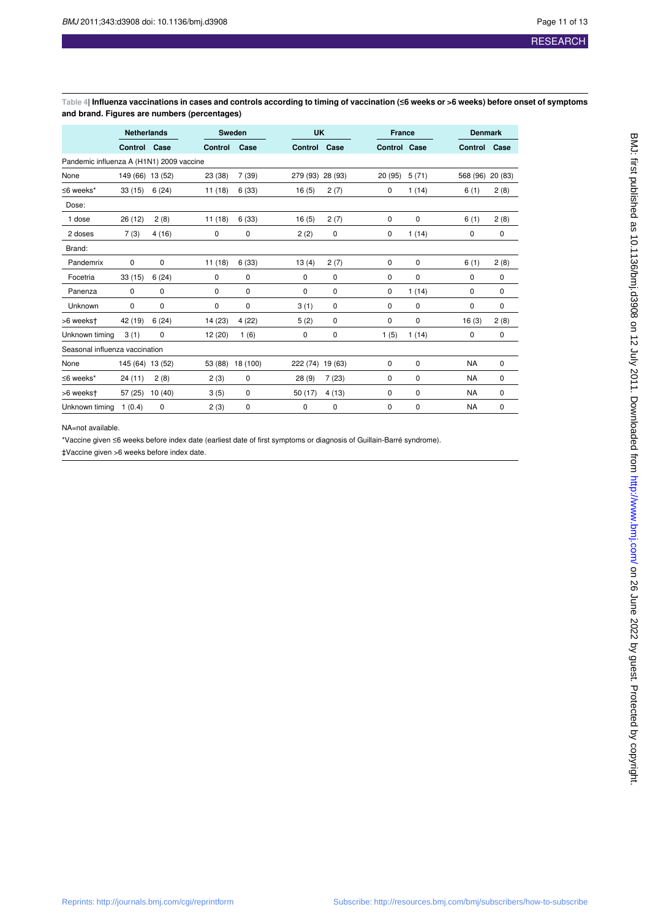**Table 4| Influenza vaccinations in cases and controls according to timing of vaccination (≤6 weeks or >6 weeks) before onset of symptoms and brand. Figures are numbers (percentages)**

|                                          | <b>Netherlands</b> |        |                | <b>Sweden</b><br><b>UK</b> |          |             | <b>France</b> |       | <b>Denmark</b> |        |
|------------------------------------------|--------------------|--------|----------------|----------------------------|----------|-------------|---------------|-------|----------------|--------|
|                                          | Control            | Case   | <b>Control</b> | Case                       | Control  | Case        | Control Case  |       | <b>Control</b> | Case   |
| Pandemic influenza A (H1N1) 2009 vaccine |                    |        |                |                            |          |             |               |       |                |        |
| None                                     | 149 (66) 13 (52)   |        | 23 (38)        | 7(39)                      | 279 (93) | 28 (93)     | 20 (95)       | 5(71) | 568 (96)       | 20(83) |
| $\leq$ 6 weeks*                          | 33(15)             | 6(24)  | 11(18)         | 6(33)                      | 16(5)    | 2(7)        | 0             | 1(14) | 6(1)           | 2(8)   |
| Dose:                                    |                    |        |                |                            |          |             |               |       |                |        |
| 1 dose                                   | 26 (12)            | 2(8)   | 11(18)         | 6(33)                      | 16(5)    | 2(7)        | 0             | 0     | 6(1)           | 2(8)   |
| 2 doses                                  | 7(3)               | 4(16)  | 0              | 0                          | 2(2)     | 0           | 0             | 1(14) | 0              | 0      |
| Brand:                                   |                    |        |                |                            |          |             |               |       |                |        |
| Pandemrix                                | $\mathbf 0$        | 0      | 11(18)         | 6(33)                      | 13(4)    | 2(7)        | 0             | 0     | 6(1)           | 2(8)   |
| Focetria                                 | 33(15)             | 6(24)  | 0              | 0                          | 0        | $\mathbf 0$ | 0             | 0     | 0              | 0      |
| Panenza                                  | 0                  | 0      | 0              | 0                          | 0        | 0           | 0             | 1(14) | 0              | 0      |
| Unknown                                  | 0                  | 0      | 0              | 0                          | 3(1)     | $\mathbf 0$ | 0             | 0     | 0              | 0      |
| >6 weekst                                | 42 (19)            | 6(24)  | 14 (23)        | 4(22)                      | 5(2)     | 0           | 0             | 0     | 16(3)          | 2(8)   |
| Unknown timing                           | 3(1)               | 0      | 12 (20)        | 1(6)                       | 0        | 0           | 1(5)          | 1(14) | 0              | 0      |
| Seasonal influenza vaccination           |                    |        |                |                            |          |             |               |       |                |        |
| None                                     | 145 (64) 13 (52)   |        | 53 (88)        | 18 (100)                   | 222 (74) | 19 (63)     | 0             | 0     | <b>NA</b>      | 0      |
| $\leq$ 6 weeks*                          | 24(11)             | 2(8)   | 2(3)           | $\mathbf 0$                | 28(9)    | 7(23)       | 0             | 0     | <b>NA</b>      | 0      |
| >6 weekst                                | 57(25)             | 10(40) | 3(5)           | $\mathbf 0$                | 50 (17)  | 4(13)       | 0             | 0     | <b>NA</b>      | 0      |
| Unknown timing                           | 1(0.4)             | 0      | 2(3)           | 0                          | 0        | 0           | 0             | 0     | <b>NA</b>      | 0      |

#### NA=not available.

\*Vaccine given ≤6 weeks before index date (earliest date of first symptoms or diagnosis of Guillain-Barré syndrome).

‡Vaccine given >6 weeks before index date.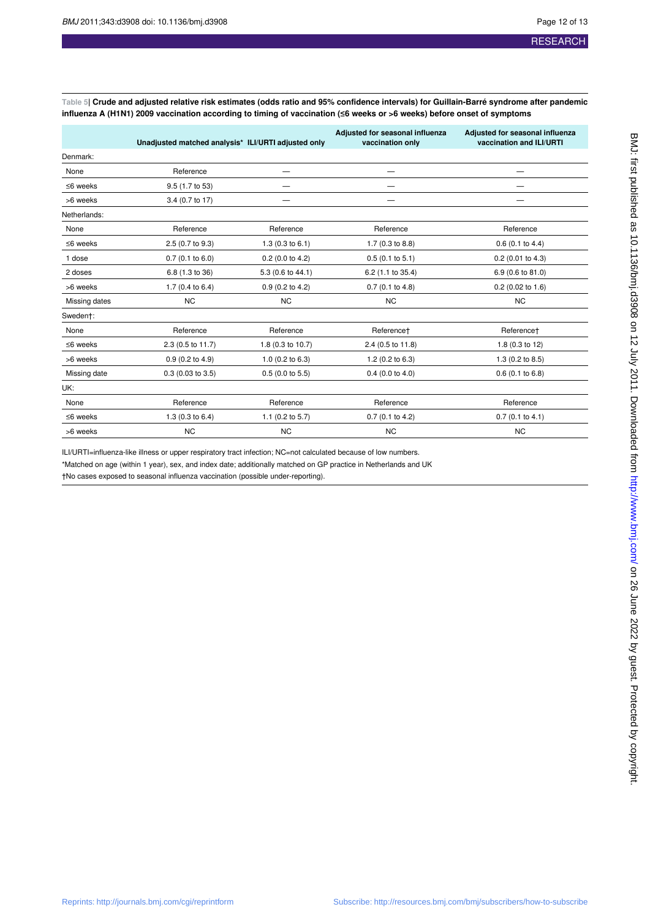**Table 5| Crude and adjusted relative risk estimates (odds ratio and 95% confidence intervals) for Guillain-Barré syndrome after pandemic influenza A (H1N1) 2009 vaccination according to timing of vaccination (≤6 weeks or >6 weeks) before onset of symptoms**

|                | Unadjusted matched analysis* ILI/URTI adjusted only |                      | Adjusted for seasonal influenza<br>vaccination only | Adjusted for seasonal influenza<br>vaccination and ILI/URTI |
|----------------|-----------------------------------------------------|----------------------|-----------------------------------------------------|-------------------------------------------------------------|
| Denmark:       |                                                     |                      |                                                     |                                                             |
| None           | Reference                                           |                      |                                                     |                                                             |
| $\leq$ 6 weeks | 9.5 (1.7 to 53)                                     |                      |                                                     |                                                             |
| >6 weeks       | 3.4 (0.7 to 17)                                     |                      |                                                     |                                                             |
| Netherlands:   |                                                     |                      |                                                     |                                                             |
| None           | Reference                                           | Reference            | Reference                                           | Reference                                                   |
| $\leq$ 6 weeks | 2.5 (0.7 to 9.3)                                    | 1.3(0.3 to 6.1)      | 1.7 (0.3 to 8.8)                                    | 0.6(0.1 to 4.4)                                             |
| 1 dose         | 0.7(0.1 to 6.0)                                     | $0.2$ (0.0 to 4.2)   | 0.5(0.1 to 5.1)                                     | 0.2 (0.01 to 4.3)                                           |
| 2 doses        | 6.8 (1.3 to 36)                                     | 5.3 (0.6 to 44.1)    | 6.2 (1.1 to 35.4)                                   | 6.9 (0.6 to 81.0)                                           |
| >6 weeks       | 1.7 (0.4 to $6.4$ )                                 | $0.9$ (0.2 to 4.2)   | $0.7$ (0.1 to 4.8)                                  | $0.2$ (0.02 to 1.6)                                         |
| Missing dates  | N <sub>C</sub>                                      | <b>NC</b>            | <b>NC</b>                                           | <b>NC</b>                                                   |
| Swedent:       |                                                     |                      |                                                     |                                                             |
| None           | Reference                                           | Reference            | Referencet                                          | Referencet                                                  |
| $\leq$ 6 weeks | 2.3 (0.5 to 11.7)                                   | 1.8 (0.3 to 10.7)    | 2.4 (0.5 to 11.8)                                   | 1.8 (0.3 to 12)                                             |
| >6 weeks       | 0.9(0.2 to 4.9)                                     | 1.0 $(0.2$ to $6.3)$ | $1.2$ (0.2 to 6.3)                                  | 1.3 (0.2 to 8.5)                                            |
| Missing date   | $0.3$ (0.03 to 3.5)                                 | 0.5(0.0 to 5.5)      | $0.4$ (0.0 to 4.0)                                  | $0.6$ (0.1 to 6.8)                                          |
| UK:            |                                                     |                      |                                                     |                                                             |
| None           | Reference                                           | Reference            | Reference                                           | Reference                                                   |
| $\leq$ 6 weeks | 1.3 $(0.3$ to 6.4)                                  | 1.1 $(0.2$ to 5.7)   | $0.7$ (0.1 to 4.2)                                  | 0.7(0.1 to 4.1)                                             |
| >6 weeks       | <b>NC</b>                                           | <b>NC</b>            | <b>NC</b>                                           | <b>NC</b>                                                   |

ILI/URTI=influenza-like illness or upper respiratory tract infection; NC=not calculated because of low numbers. \*Matched on age (within 1 year), sex, and index date; additionally matched on GP practice in Netherlands and UK

†No cases exposed to seasonal influenza vaccination (possible under-reporting).